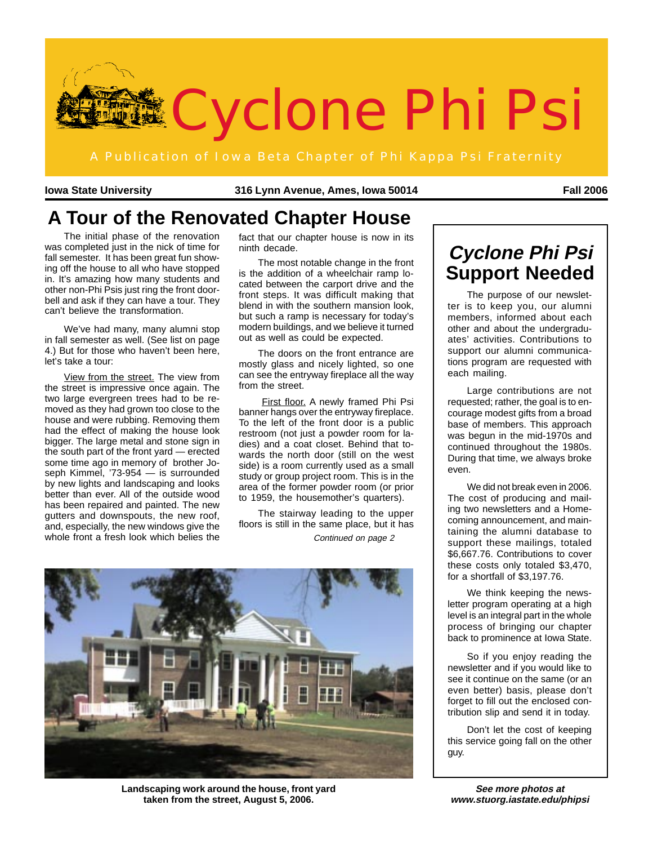

**Iowa State University 316 Lynn Avenue, Ames, Iowa 50014 Fall 2006**

# **A Tour of the Renovated Chapter House**

The initial phase of the renovation was completed just in the nick of time for fall semester. It has been great fun showing off the house to all who have stopped in. It's amazing how many students and other non-Phi Psis just ring the front doorbell and ask if they can have a tour. They can't believe the transformation.

We've had many, many alumni stop in fall semester as well. (See list on page 4.) But for those who haven't been here, let's take a tour:

View from the street. The view from the street is impressive once again. The two large evergreen trees had to be removed as they had grown too close to the house and were rubbing. Removing them had the effect of making the house look bigger. The large metal and stone sign in the south part of the front yard — erected some time ago in memory of brother Joseph Kimmel, '73-954 — is surrounded by new lights and landscaping and looks better than ever. All of the outside wood has been repaired and painted. The new gutters and downspouts, the new roof, and, especially, the new windows give the whole front a fresh look which belies the fact that our chapter house is now in its ninth decade.

The most notable change in the front is the addition of a wheelchair ramp located between the carport drive and the front steps. It was difficult making that blend in with the southern mansion look, but such a ramp is necessary for today's modern buildings, and we believe it turned out as well as could be expected.

The doors on the front entrance are mostly glass and nicely lighted, so one can see the entryway fireplace all the way from the street.

First floor. A newly framed Phi Psi banner hangs over the entryway fireplace. To the left of the front door is a public restroom (not just a powder room for ladies) and a coat closet. Behind that towards the north door (still on the west side) is a room currently used as a small study or group project room. This is in the area of the former powder room (or prior to 1959, the housemother's quarters).

The stairway leading to the upper floors is still in the same place, but it has Continued on page 2



**Landscaping work around the house, front yard taken from the street, August 5, 2006.**

# **Cyclone Phi Psi Support Needed**

The purpose of our newsletter is to keep you, our alumni members, informed about each other and about the undergraduates' activities. Contributions to support our alumni communications program are requested with each mailing.

Large contributions are not requested; rather, the goal is to encourage modest gifts from a broad base of members. This approach was begun in the mid-1970s and continued throughout the 1980s. During that time, we always broke even.

We did not break even in 2006. The cost of producing and mailing two newsletters and a Homecoming announcement, and maintaining the alumni database to support these mailings, totaled \$6,667.76. Contributions to cover these costs only totaled \$3,470, for a shortfall of \$3,197.76.

We think keeping the newsletter program operating at a high level is an integral part in the whole process of bringing our chapter back to prominence at Iowa State.

So if you enjoy reading the newsletter and if you would like to see it continue on the same (or an even better) basis, please don't forget to fill out the enclosed contribution slip and send it in today.

Don't let the cost of keeping this service going fall on the other guy.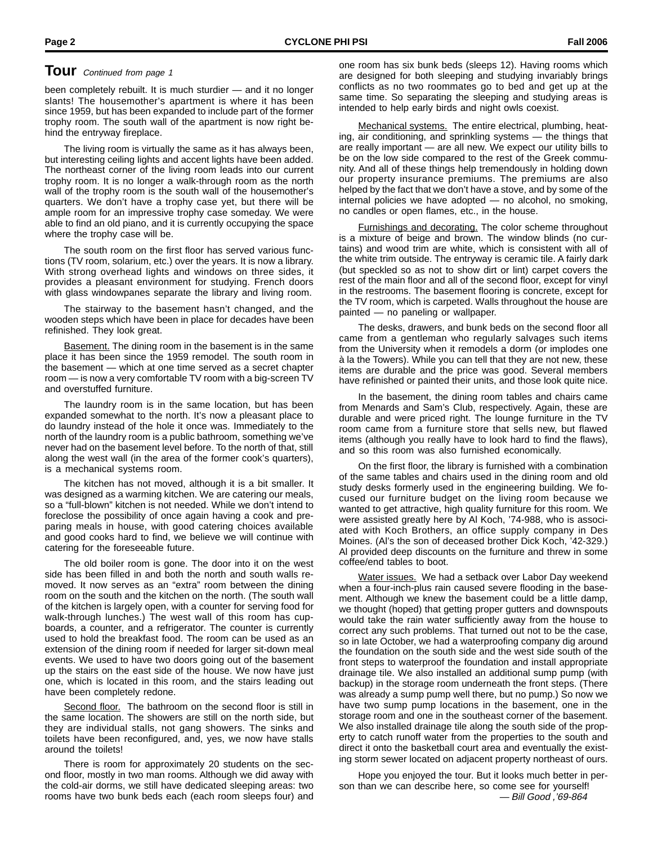### **TOUI** Continued from page 1

been completely rebuilt. It is much sturdier — and it no longer slants! The housemother's apartment is where it has been since 1959, but has been expanded to include part of the former trophy room. The south wall of the apartment is now right behind the entryway fireplace.

The living room is virtually the same as it has always been, but interesting ceiling lights and accent lights have been added. The northeast corner of the living room leads into our current trophy room. It is no longer a walk-through room as the north wall of the trophy room is the south wall of the housemother's quarters. We don't have a trophy case yet, but there will be ample room for an impressive trophy case someday. We were able to find an old piano, and it is currently occupying the space where the trophy case will be.

The south room on the first floor has served various functions (TV room, solarium, etc.) over the years. It is now a library. With strong overhead lights and windows on three sides, it provides a pleasant environment for studying. French doors with glass windowpanes separate the library and living room.

The stairway to the basement hasn't changed, and the wooden steps which have been in place for decades have been refinished. They look great.

Basement. The dining room in the basement is in the same place it has been since the 1959 remodel. The south room in the basement — which at one time served as a secret chapter room — is now a very comfortable TV room with a big-screen TV and overstuffed furniture.

The laundry room is in the same location, but has been expanded somewhat to the north. It's now a pleasant place to do laundry instead of the hole it once was. Immediately to the north of the laundry room is a public bathroom, something we've never had on the basement level before. To the north of that, still along the west wall (in the area of the former cook's quarters), is a mechanical systems room.

The kitchen has not moved, although it is a bit smaller. It was designed as a warming kitchen. We are catering our meals, so a "full-blown" kitchen is not needed. While we don't intend to foreclose the possibility of once again having a cook and preparing meals in house, with good catering choices available and good cooks hard to find, we believe we will continue with catering for the foreseeable future.

The old boiler room is gone. The door into it on the west side has been filled in and both the north and south walls removed. It now serves as an "extra" room between the dining room on the south and the kitchen on the north. (The south wall of the kitchen is largely open, with a counter for serving food for walk-through lunches.) The west wall of this room has cupboards, a counter, and a refrigerator. The counter is currently used to hold the breakfast food. The room can be used as an extension of the dining room if needed for larger sit-down meal events. We used to have two doors going out of the basement up the stairs on the east side of the house. We now have just one, which is located in this room, and the stairs leading out have been completely redone.

Second floor. The bathroom on the second floor is still in the same location. The showers are still on the north side, but they are individual stalls, not gang showers. The sinks and toilets have been reconfigured, and, yes, we now have stalls around the toilets!

There is room for approximately 20 students on the second floor, mostly in two man rooms. Although we did away with the cold-air dorms, we still have dedicated sleeping areas: two rooms have two bunk beds each (each room sleeps four) and one room has six bunk beds (sleeps 12). Having rooms which are designed for both sleeping and studying invariably brings conflicts as no two roommates go to bed and get up at the same time. So separating the sleeping and studying areas is intended to help early birds and night owls coexist.

Mechanical systems. The entire electrical, plumbing, heating, air conditioning, and sprinkling systems — the things that are really important — are all new. We expect our utility bills to be on the low side compared to the rest of the Greek community. And all of these things help tremendously in holding down our property insurance premiums. The premiums are also helped by the fact that we don't have a stove, and by some of the internal policies we have adopted — no alcohol, no smoking, no candles or open flames, etc., in the house.

Furnishings and decorating. The color scheme throughout is a mixture of beige and brown. The window blinds (no curtains) and wood trim are white, which is consistent with all of the white trim outside. The entryway is ceramic tile. A fairly dark (but speckled so as not to show dirt or lint) carpet covers the rest of the main floor and all of the second floor, except for vinyl in the restrooms. The basement flooring is concrete, except for the TV room, which is carpeted. Walls throughout the house are painted — no paneling or wallpaper.

The desks, drawers, and bunk beds on the second floor all came from a gentleman who regularly salvages such items from the University when it remodels a dorm (or implodes one à la the Towers). While you can tell that they are not new, these items are durable and the price was good. Several members have refinished or painted their units, and those look quite nice.

In the basement, the dining room tables and chairs came from Menards and Sam's Club, respectively. Again, these are durable and were priced right. The lounge furniture in the TV room came from a furniture store that sells new, but flawed items (although you really have to look hard to find the flaws), and so this room was also furnished economically.

On the first floor, the library is furnished with a combination of the same tables and chairs used in the dining room and old study desks formerly used in the engineering building. We focused our furniture budget on the living room because we wanted to get attractive, high quality furniture for this room. We were assisted greatly here by Al Koch, '74-988, who is associated with Koch Brothers, an office supply company in Des Moines. (Al's the son of deceased brother Dick Koch, '42-329.) Al provided deep discounts on the furniture and threw in some coffee/end tables to boot.

Water issues. We had a setback over Labor Day weekend when a four-inch-plus rain caused severe flooding in the basement. Although we knew the basement could be a little damp, we thought (hoped) that getting proper gutters and downspouts would take the rain water sufficiently away from the house to correct any such problems. That turned out not to be the case, so in late October, we had a waterproofing company dig around the foundation on the south side and the west side south of the front steps to waterproof the foundation and install appropriate drainage tile. We also installed an additional sump pump (with backup) in the storage room underneath the front steps. (There was already a sump pump well there, but no pump.) So now we have two sump pump locations in the basement, one in the storage room and one in the southeast corner of the basement. We also installed drainage tile along the south side of the property to catch runoff water from the properties to the south and direct it onto the basketball court area and eventually the existing storm sewer located on adjacent property northeast of ours.

Hope you enjoyed the tour. But it looks much better in person than we can describe here, so come see for yourself! — Bill Good ,'69-864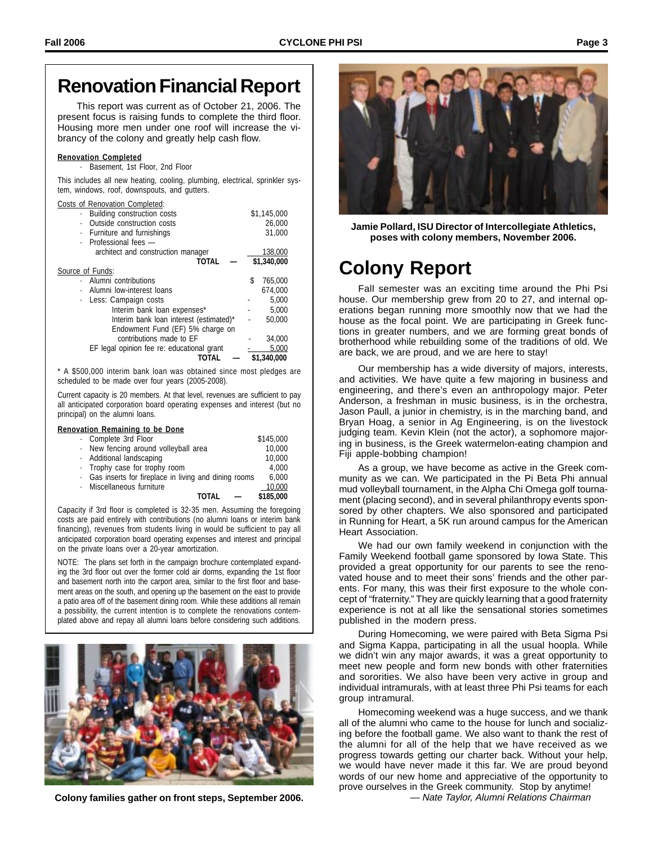This report was current as of October 21, 2006. The present focus is raising funds to complete the third floor. Housing more men under one roof will increase the vibrancy of the colony and greatly help cash flow.

### **Renovation Completed**

Basement, 1st Floor, 2nd Floor

This includes all new heating, cooling, plumbing, electrical, sprinkler system, windows, roof, downspouts, and gutters.

|  | Costs of Renovation Completed: |  |
|--|--------------------------------|--|
|  |                                |  |

| <b>Building construction costs</b><br>$\ddot{\phantom{0}}$ | \$1,145,000   |  |  |
|------------------------------------------------------------|---------------|--|--|
| Outside construction costs                                 | 26,000        |  |  |
| Furniture and furnishings<br>$\bullet$                     | 31,000        |  |  |
| Professional fees -<br>$\ddot{\phantom{0}}$                |               |  |  |
| architect and construction manager                         | 138,000       |  |  |
| <b>TOTAL</b>                                               | \$1,340,000   |  |  |
| Source of Funds:                                           |               |  |  |
| Alumni contributions                                       | \$<br>765,000 |  |  |
| Alumni low-interest loans<br>$\cdot$                       | 674.000       |  |  |
| Less: Campaign costs<br>$\bullet$                          | 5,000         |  |  |
| Interim bank loan expenses*                                | 5.000         |  |  |
| Interim bank loan interest (estimated)*                    | 50,000        |  |  |
| Endowment Fund (EF) 5% charge on                           |               |  |  |
| contributions made to EF                                   | 34,000        |  |  |
| EF legal opinion fee re: educational grant                 | 5.000         |  |  |
| ΤΟΤΑΙ                                                      | \$1,340,000   |  |  |

\* A \$500,000 interim bank loan was obtained since most pledges are scheduled to be made over four years (2005-2008).

Current capacity is 20 members. At that level, revenues are sufficient to pay all anticipated corporation board operating expenses and interest (but no principal) on the alumni loans.

### **Renovation Remaining to be Done**

| Complete 3rd Floor                                     | \$145,000 |
|--------------------------------------------------------|-----------|
| · New fencing around volleyball area                   | 10,000    |
| · Additional landscaping                               | 10,000    |
| · Trophy case for trophy room                          | 4.000     |
| · Gas inserts for fireplace in living and dining rooms | 6.000     |
| · Miscellaneous furniture                              | 10,000    |
| TOTAI                                                  | \$185,000 |
|                                                        |           |

Capacity if 3rd floor is completed is 32-35 men. Assuming the foregoing costs are paid entirely with contributions (no alumni loans or interim bank financing), revenues from students living in would be sufficient to pay all anticipated corporation board operating expenses and interest and principal on the private loans over a 20-year amortization.

NOTE: The plans set forth in the campaign brochure contemplated expanding the 3rd floor out over the former cold air dorms, expanding the 1st floor and basement north into the carport area, similar to the first floor and basement areas on the south, and opening up the basement on the east to provide a patio area off of the basement dining room. While these additions all remain a possibility, the current intention is to complete the renovations contemplated above and repay all alumni loans before considering such additions.



**Colony families gather on front steps, September 2006.**



**Jamie Pollard, ISU Director of Intercollegiate Athletics, poses with colony members, November 2006.**

# **Colony Report**

Fall semester was an exciting time around the Phi Psi house. Our membership grew from 20 to 27, and internal operations began running more smoothly now that we had the house as the focal point. We are participating in Greek functions in greater numbers, and we are forming great bonds of brotherhood while rebuilding some of the traditions of old. We are back, we are proud, and we are here to stay!

Our membership has a wide diversity of majors, interests, and activities. We have quite a few majoring in business and engineering, and there's even an anthropology major. Peter Anderson, a freshman in music business, is in the orchestra, Jason Paull, a junior in chemistry, is in the marching band, and Bryan Hoag, a senior in Ag Engineering, is on the livestock judging team. Kevin Klein (not the actor), a sophomore majoring in business, is the Greek watermelon-eating champion and Fiji apple-bobbing champion!

As a group, we have become as active in the Greek community as we can. We participated in the Pi Beta Phi annual mud volleyball tournament, in the Alpha Chi Omega golf tournament (placing second), and in several philanthropy events sponsored by other chapters. We also sponsored and participated in Running for Heart, a 5K run around campus for the American Heart Association.

We had our own family weekend in conjunction with the Family Weekend football game sponsored by Iowa State. This provided a great opportunity for our parents to see the renovated house and to meet their sons' friends and the other parents. For many, this was their first exposure to the whole concept of "fraternity." They are quickly learning that a good fraternity experience is not at all like the sensational stories sometimes published in the modern press.

During Homecoming, we were paired with Beta Sigma Psi and Sigma Kappa, participating in all the usual hoopla. While we didn't win any major awards, it was a great opportunity to meet new people and form new bonds with other fraternities and sororities. We also have been very active in group and individual intramurals, with at least three Phi Psi teams for each group intramural.

Homecoming weekend was a huge success, and we thank all of the alumni who came to the house for lunch and socializing before the football game. We also want to thank the rest of the alumni for all of the help that we have received as we progress towards getting our charter back. Without your help, we would have never made it this far. We are proud beyond words of our new home and appreciative of the opportunity to prove ourselves in the Greek community. Stop by anytime! — Nate Taylor, Alumni Relations Chairman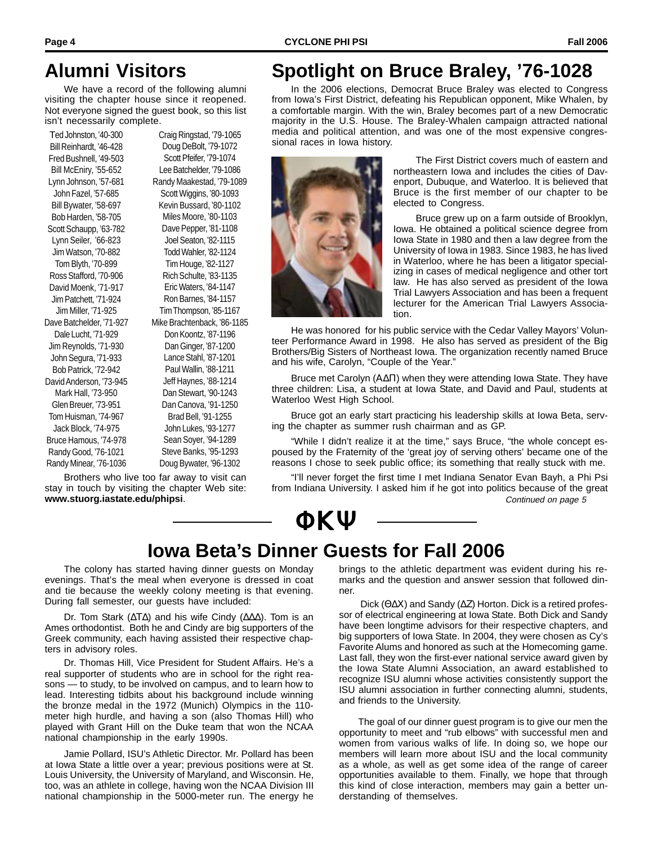## **Alumni Visitors**

We have a record of the following alumni visiting the chapter house since it reopened. Not everyone signed the guest book, so this list isn't necessarily complete.

Ted Johnston, '40-300 Bill Reinhardt, '46-428 Fred Bushnell, '49-503 Bill McEniry, '55-652 Lynn Johnson, '57-681 John Fazel, '57-685 Bill Bywater, '58-697 Bob Harden, '58-705 Scott Schaupp, '63-782 Lynn Seiler, '66-823 Jim Watson, '70-882 Tom Blyth, '70-899 Ross Stafford, '70-906 David Moenk, '71-917 Jim Patchett, '71-924 Jim Miller, '71-925 Dave Batchelder, '71-927 Dale Lucht, '71-929 Jim Reynolds, '71-930 John Segura, '71-933 Bob Patrick, '72-942 David Anderson, '73-945 Mark Hall, '73-950 Glen Breuer, '73-951 Tom Huisman, '74-967 Jack Block, '74-975 Bruce Hamous, '74-978 Randy Good, '76-1021 Randy Minear, '76-1036 Craig Ringstad, '79-1065 Doug DeBolt, '79-1072 Scott Pfeifer, '79-1074 Lee Batchelder, '79-1086 Randy Maakestad, '79-1089 Scott Wiggins, '80-1093 Kevin Bussard, '80-1102 Miles Moore, '80-1103 Dave Pepper, '81-1108 Joel Seaton, '82-1115 Todd Wahler, '82-1124 Tim Houge, '82-1127 Rich Schulte, '83-1135 Eric Waters, '84-1147 Ron Barnes, '84-1157 Tim Thompson, '85-1167 Mike Brachtenback, '86-1185 Don Koontz, '87-1196 Dan Ginger, '87-1200 Lance Stahl, '87-1201 Paul Wallin, '88-1211 Jeff Haynes, '88-1214 Dan Stewart, '90-1243 Dan Canova, '91-1250 Brad Bell, '91-1255 John Lukes, '93-1277 Sean Soyer, '94-1289 Steve Banks, '95-1293 Doug Bywater, '96-1302

Brothers who live too far away to visit can stay in touch by visiting the chapter Web site: **www.stuorg.iastate.edu/phipsi**.

# **Spotlight on Bruce Braley, '76-1028**

In the 2006 elections, Democrat Bruce Braley was elected to Congress from Iowa's First District, defeating his Republican opponent, Mike Whalen, by a comfortable margin. With the win, Braley becomes part of a new Democratic majority in the U.S. House. The Braley-Whalen campaign attracted national media and political attention, and was one of the most expensive congressional races in Iowa history.



The First District covers much of eastern and northeastern Iowa and includes the cities of Davenport, Dubuque, and Waterloo. It is believed that Bruce is the first member of our chapter to be elected to Congress.

Bruce grew up on a farm outside of Brooklyn, Iowa. He obtained a political science degree from Iowa State in 1980 and then a law degree from the University of Iowa in 1983. Since 1983, he has lived in Waterloo, where he has been a litigator specializing in cases of medical negligence and other tort law. He has also served as president of the Iowa Trial Lawyers Association and has been a frequent lecturer for the American Trial Lawyers Association.

He was honored for his public service with the Cedar Valley Mayors' Volunteer Performance Award in 1998. He also has served as president of the Big Brothers/Big Sisters of Northeast Iowa. The organization recently named Bruce and his wife, Carolyn, "Couple of the Year."

Bruce met Carolyn (Α∆Π) when they were attending Iowa State. They have three children: Lisa, a student at Iowa State, and David and Paul, students at Waterloo West High School.

Bruce got an early start practicing his leadership skills at Iowa Beta, serving the chapter as summer rush chairman and as GP.

"While I didn't realize it at the time," says Bruce, "the whole concept espoused by the Fraternity of the 'great joy of serving others' became one of the reasons I chose to seek public office; its something that really stuck with me.

Continued on page 5 "I'll never forget the first time I met Indiana Senator Evan Bayh, a Phi Psi from Indiana University. I asked him if he got into politics because of the great

# ΦΚΨ

## **Iowa Beta's Dinner Guests for Fall 2006**

The colony has started having dinner guests on Monday evenings. That's the meal when everyone is dressed in coat and tie because the weekly colony meeting is that evening. During fall semester, our guests have included:

Dr. Tom Stark (∆Τ∆) and his wife Cindy (∆∆∆). Tom is an Ames orthodontist. Both he and Cindy are big supporters of the Greek community, each having assisted their respective chapters in advisory roles.

Dr. Thomas Hill, Vice President for Student Affairs. He's a real supporter of students who are in school for the right reasons — to study, to be involved on campus, and to learn how to lead. Interesting tidbits about his background include winning the bronze medal in the 1972 (Munich) Olympics in the 110 meter high hurdle, and having a son (also Thomas Hill) who played with Grant Hill on the Duke team that won the NCAA national championship in the early 1990s.

Jamie Pollard, ISU's Athletic Director. Mr. Pollard has been at Iowa State a little over a year; previous positions were at St. Louis University, the University of Maryland, and Wisconsin. He, too, was an athlete in college, having won the NCAA Division III national championship in the 5000-meter run. The energy he

brings to the athletic department was evident during his remarks and the question and answer session that followed dinner.

 Dick (Θ∆Χ) and Sandy (∆Ζ) Horton. Dick is a retired professor of electrical engineering at Iowa State. Both Dick and Sandy have been longtime advisors for their respective chapters, and big supporters of Iowa State. In 2004, they were chosen as Cy's Favorite Alums and honored as such at the Homecoming game. Last fall, they won the first-ever national service award given by the Iowa State Alumni Association, an award established to recognize ISU alumni whose activities consistently support the ISU alumni association in further connecting alumni, students, and friends to the University.

The goal of our dinner guest program is to give our men the opportunity to meet and "rub elbows" with successful men and women from various walks of life. In doing so, we hope our members will learn more about ISU and the local community as a whole, as well as get some idea of the range of career opportunities available to them. Finally, we hope that through this kind of close interaction, members may gain a better understanding of themselves.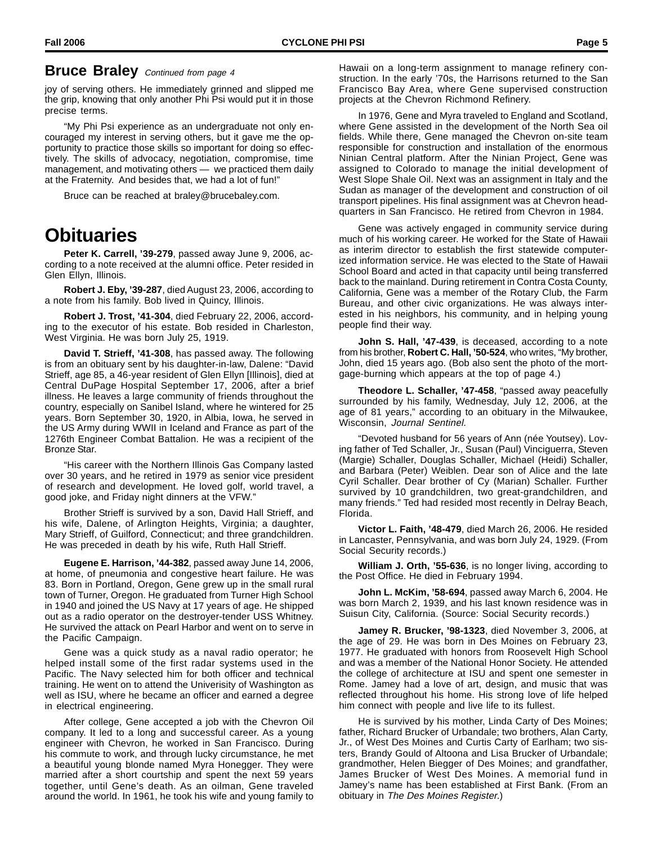### **Bruce Braley** Continued from page 4

joy of serving others. He immediately grinned and slipped me the grip, knowing that only another Phi Psi would put it in those precise terms.

"My Phi Psi experience as an undergraduate not only encouraged my interest in serving others, but it gave me the opportunity to practice those skills so important for doing so effectively. The skills of advocacy, negotiation, compromise, time management, and motivating others — we practiced them daily at the Fraternity. And besides that, we had a lot of fun!"

Bruce can be reached at braley@brucebaley.com.

## **Obituaries**

**Peter K. Carrell, '39-279**, passed away June 9, 2006, according to a note received at the alumni office. Peter resided in Glen Ellyn, Illinois.

**Robert J. Eby, '39-287**, died August 23, 2006, according to a note from his family. Bob lived in Quincy, Illinois.

**Robert J. Trost, '41-304**, died February 22, 2006, according to the executor of his estate. Bob resided in Charleston, West Virginia. He was born July 25, 1919.

**David T. Strieff, '41-308**, has passed away. The following is from an obituary sent by his daughter-in-law, Dalene: "David Strieff, age 85, a 46-year resident of Glen Ellyn [Illinois], died at Central DuPage Hospital September 17, 2006, after a brief illness. He leaves a large community of friends throughout the country, especially on Sanibel Island, where he wintered for 25 years. Born September 30, 1920, in Albia, Iowa, he served in the US Army during WWII in Iceland and France as part of the 1276th Engineer Combat Battalion. He was a recipient of the Bronze Star.

"His career with the Northern Illinois Gas Company lasted over 30 years, and he retired in 1979 as senior vice president of research and development. He loved golf, world travel, a good joke, and Friday night dinners at the VFW."

Brother Strieff is survived by a son, David Hall Strieff, and his wife, Dalene, of Arlington Heights, Virginia; a daughter, Mary Strieff, of Guilford, Connecticut; and three grandchildren. He was preceded in death by his wife, Ruth Hall Strieff.

**Eugene E. Harrison, '44-382**, passed away June 14, 2006, at home, of pneumonia and congestive heart failure. He was 83. Born in Portland, Oregon, Gene grew up in the small rural town of Turner, Oregon. He graduated from Turner High School in 1940 and joined the US Navy at 17 years of age. He shipped out as a radio operator on the destroyer-tender USS Whitney. He survived the attack on Pearl Harbor and went on to serve in the Pacific Campaign.

Gene was a quick study as a naval radio operator; he helped install some of the first radar systems used in the Pacific. The Navy selected him for both officer and technical training. He went on to attend the Univerisity of Washington as well as ISU, where he became an officer and earned a degree in electrical engineering.

After college, Gene accepted a job with the Chevron Oil company. It led to a long and successful career. As a young engineer with Chevron, he worked in San Francisco. During his commute to work, and through lucky circumstance, he met a beautiful young blonde named Myra Honegger. They were married after a short courtship and spent the next 59 years together, until Gene's death. As an oilman, Gene traveled around the world. In 1961, he took his wife and young family to Hawaii on a long-term assignment to manage refinery construction. In the early '70s, the Harrisons returned to the San Francisco Bay Area, where Gene supervised construction projects at the Chevron Richmond Refinery.

In 1976, Gene and Myra traveled to England and Scotland, where Gene assisted in the development of the North Sea oil fields. While there, Gene managed the Chevron on-site team responsible for construction and installation of the enormous Ninian Central platform. After the Ninian Project, Gene was assigned to Colorado to manage the initial development of West Slope Shale Oil. Next was an assignment in Italy and the Sudan as manager of the development and construction of oil transport pipelines. His final assignment was at Chevron headquarters in San Francisco. He retired from Chevron in 1984.

Gene was actively engaged in community service during much of his working career. He worked for the State of Hawaii as interim director to establish the first statewide computerized information service. He was elected to the State of Hawaii School Board and acted in that capacity until being transferred back to the mainland. During retirement in Contra Costa County, California, Gene was a member of the Rotary Club, the Farm Bureau, and other civic organizations. He was always interested in his neighbors, his community, and in helping young people find their way.

**John S. Hall, '47-439**, is deceased, according to a note from his brother, **Robert C. Hall, '50-524**, who writes, "My brother, John, died 15 years ago. (Bob also sent the photo of the mortgage-burning which appears at the top of page 4.)

**Theodore L. Schaller, '47-458**, "passed away peacefully surrounded by his family, Wednesday, July 12, 2006, at the age of 81 years," according to an obituary in the Milwaukee, Wisconsin, Journal Sentinel.

"Devoted husband for 56 years of Ann (née Youtsey). Loving father of Ted Schaller, Jr., Susan (Paul) Vinciguerra, Steven (Margie) Schaller, Douglas Schaller, Michael (Heidi) Schaller, and Barbara (Peter) Weiblen. Dear son of Alice and the late Cyril Schaller. Dear brother of Cy (Marian) Schaller. Further survived by 10 grandchildren, two great-grandchildren, and many friends." Ted had resided most recently in Delray Beach, Florida.

**Victor L. Faith, '48-479**, died March 26, 2006. He resided in Lancaster, Pennsylvania, and was born July 24, 1929. (From Social Security records.)

**William J. Orth, '55-636**, is no longer living, according to the Post Office. He died in February 1994.

**John L. McKim, '58-694**, passed away March 6, 2004. He was born March 2, 1939, and his last known residence was in Suisun City, California. (Source: Social Security records.)

**Jamey R. Brucker, '98-1323**, died November 3, 2006, at the age of 29. He was born in Des Moines on February 23, 1977. He graduated with honors from Roosevelt High School and was a member of the National Honor Society. He attended the college of architecture at ISU and spent one semester in Rome. Jamey had a love of art, design, and music that was reflected throughout his home. His strong love of life helped him connect with people and live life to its fullest.

He is survived by his mother, Linda Carty of Des Moines; father, Richard Brucker of Urbandale; two brothers, Alan Carty, Jr., of West Des Moines and Curtis Carty of Earlham; two sisters, Brandy Gould of Altoona and Lisa Brucker of Urbandale; grandmother, Helen Biegger of Des Moines; and grandfather, James Brucker of West Des Moines. A memorial fund in Jamey's name has been established at First Bank. (From an obituary in The Des Moines Register.)